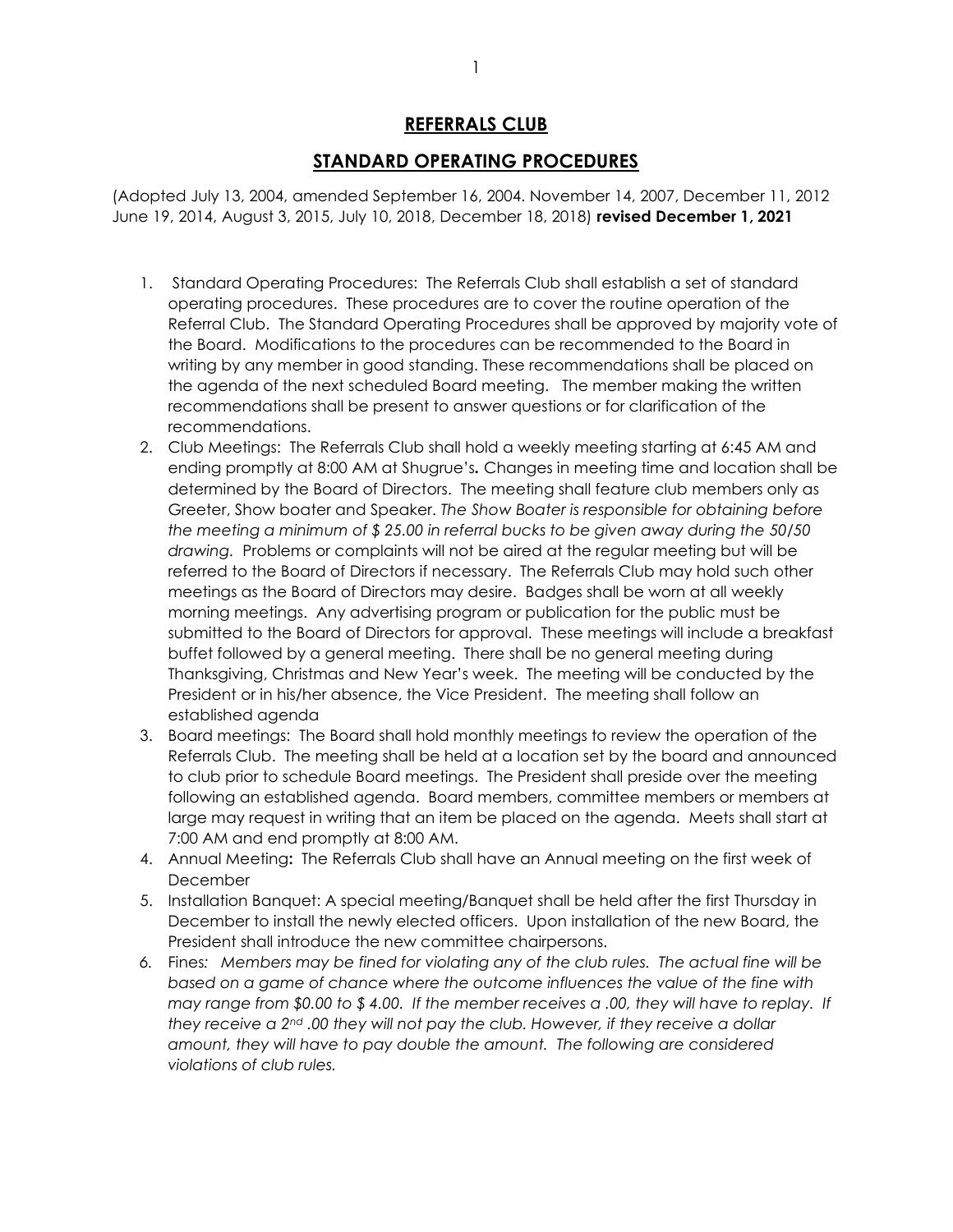## REFERRALS CLUB

## STANDARD OPERATING PROCEDURES

(Adopted July 13, 2004, amended September 16, 2004. November 14, 2007, December 11, 2012 June 19, 2014, August 3, 2015, July 10, 2018, December 18, 2018) revised December 1, 2021

- 1. Standard Operating Procedures: The Referrals Club shall establish a set of standard operating procedures. These procedures are to cover the routine operation of the Referral Club. The Standard Operating Procedures shall be approved by majority vote of the Board. Modifications to the procedures can be recommended to the Board in writing by any member in good standing. These recommendations shall be placed on the agenda of the next scheduled Board meeting. The member making the written recommendations shall be present to answer questions or for clarification of the recommendations.
- 2. Club Meetings: The Referrals Club shall hold a weekly meeting starting at 6:45 AM and ending promptly at 8:00 AM at Shugrue's. Changes in meeting time and location shall be determined by the Board of Directors. The meeting shall feature club members only as Greeter, Show boater and Speaker. The Show Boater is responsible for obtaining before the meeting a minimum of \$ 25.00 in referral bucks to be given away during the 50/50 drawing. Problems or complaints will not be aired at the regular meeting but will be referred to the Board of Directors if necessary. The Referrals Club may hold such other meetings as the Board of Directors may desire. Badges shall be worn at all weekly morning meetings. Any advertising program or publication for the public must be submitted to the Board of Directors for approval. These meetings will include a breakfast buffet followed by a general meeting. There shall be no general meeting during Thanksgiving, Christmas and New Year's week. The meeting will be conducted by the President or in his/her absence, the Vice President. The meeting shall follow an established agenda
- 3. Board meetings: The Board shall hold monthly meetings to review the operation of the Referrals Club. The meeting shall be held at a location set by the board and announced to club prior to schedule Board meetings. The President shall preside over the meeting following an established agenda. Board members, committee members or members at large may request in writing that an item be placed on the agenda. Meets shall start at 7:00 AM and end promptly at 8:00 AM.
- 4. Annual Meeting: The Referrals Club shall have an Annual meeting on the first week of December
- 5. Installation Banquet: A special meeting/Banquet shall be held after the first Thursday in December to install the newly elected officers. Upon installation of the new Board, the President shall introduce the new committee chairpersons.
- 6. Fines: Members may be fined for violating any of the club rules. The actual fine will be based on a game of chance where the outcome influences the value of the fine with may range from \$0.00 to \$ 4.00. If the member receives a .00, they will have to replay. If they receive a  $2^{nd}$ .00 they will not pay the club. However, if they receive a dollar amount, they will have to pay double the amount. The following are considered violations of club rules.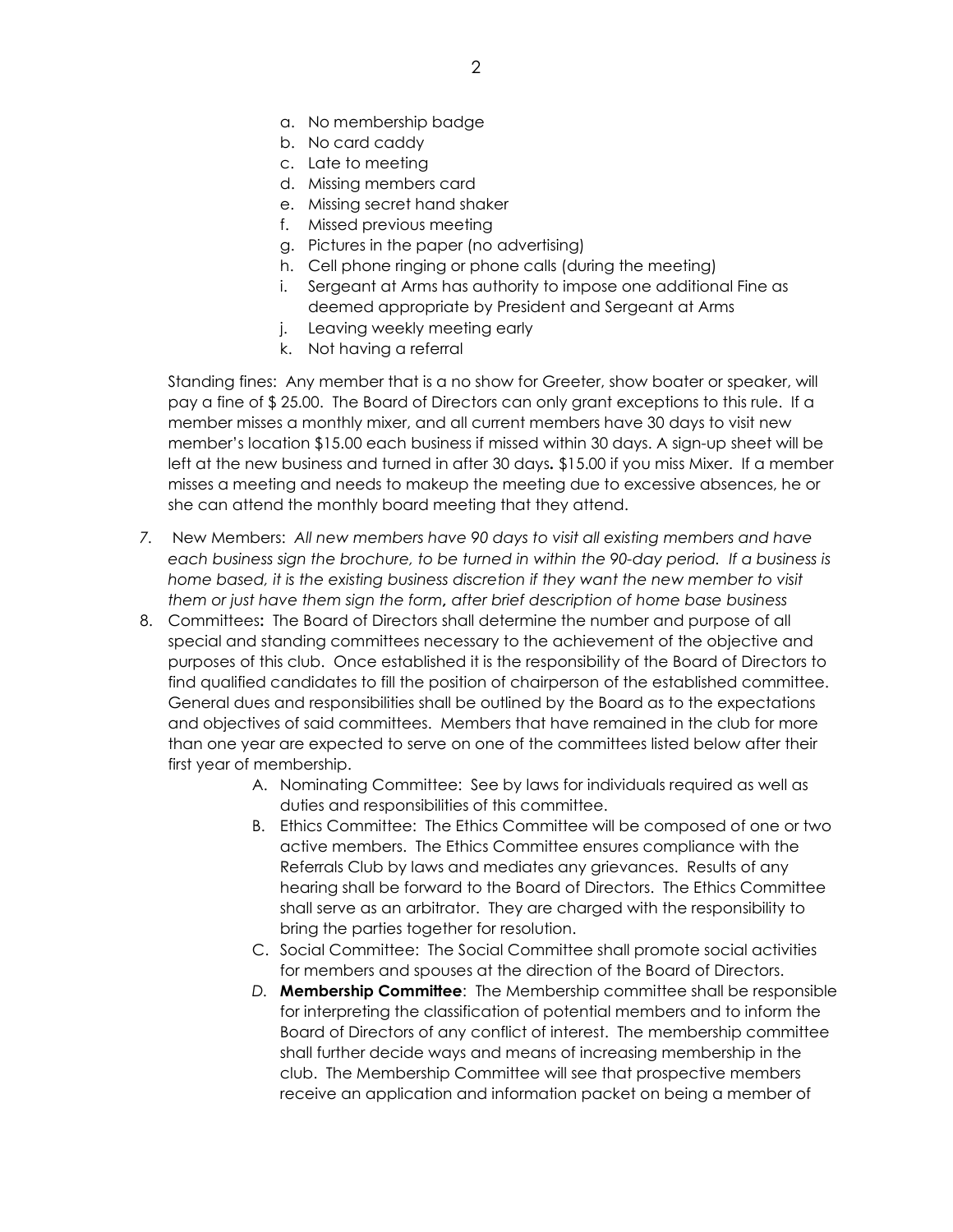- a. No membership badge
- b. No card caddy
- c. Late to meeting
- d. Missing members card
- e. Missing secret hand shaker
- f. Missed previous meeting
- g. Pictures in the paper (no advertising)
- h. Cell phone ringing or phone calls (during the meeting)
- i. Sergeant at Arms has authority to impose one additional Fine as deemed appropriate by President and Sergeant at Arms
- j. Leaving weekly meeting early
- k. Not having a referral

Standing fines: Any member that is a no show for Greeter, show boater or speaker, will pay a fine of \$ 25.00. The Board of Directors can only grant exceptions to this rule. If a member misses a monthly mixer, and all current members have 30 days to visit new member's location \$15.00 each business if missed within 30 days. A sign-up sheet will be left at the new business and turned in after 30 days. \$15.00 if you miss Mixer. If a member misses a meeting and needs to makeup the meeting due to excessive absences, he or she can attend the monthly board meeting that they attend.

- 7. New Members: All new members have 90 days to visit all existing members and have each business sign the brochure, to be turned in within the 90-day period. If a business is home based, it is the existing business discretion if they want the new member to visit them or just have them sign the form, after brief description of home base business
- 8. Committees: The Board of Directors shall determine the number and purpose of all special and standing committees necessary to the achievement of the objective and purposes of this club. Once established it is the responsibility of the Board of Directors to find qualified candidates to fill the position of chairperson of the established committee. General dues and responsibilities shall be outlined by the Board as to the expectations and objectives of said committees. Members that have remained in the club for more than one year are expected to serve on one of the committees listed below after their first year of membership.
	- A. Nominating Committee: See by laws for individuals required as well as duties and responsibilities of this committee.
	- B. Ethics Committee: The Ethics Committee will be composed of one or two active members. The Ethics Committee ensures compliance with the Referrals Club by laws and mediates any grievances. Results of any hearing shall be forward to the Board of Directors. The Ethics Committee shall serve as an arbitrator. They are charged with the responsibility to bring the parties together for resolution.
	- C. Social Committee: The Social Committee shall promote social activities for members and spouses at the direction of the Board of Directors.
	- D. Membership Committee: The Membership committee shall be responsible for interpreting the classification of potential members and to inform the Board of Directors of any conflict of interest. The membership committee shall further decide ways and means of increasing membership in the club. The Membership Committee will see that prospective members receive an application and information packet on being a member of